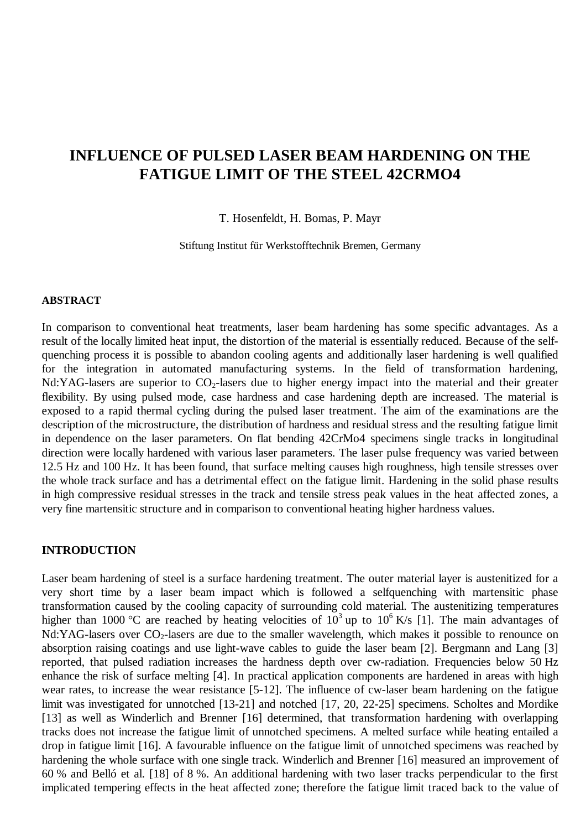# **INFLUENCE OF PULSED LASER BEAM HARDENING ON THE FATIGUE LIMIT OF THE STEEL 42CRMO4**

T. Hosenfeldt, H. Bomas, P. Mayr

Stiftung Institut für Werkstofftechnik Bremen, Germany

#### **ABSTRACT**

In comparison to conventional heat treatments, laser beam hardening has some specific advantages. As a result of the locally limited heat input, the distortion of the material is essentially reduced. Because of the selfquenching process it is possible to abandon cooling agents and additionally laser hardening is well qualified for the integration in automated manufacturing systems. In the field of transformation hardening, Nd:YAG-lasers are superior to  $CO<sub>2</sub>$ -lasers due to higher energy impact into the material and their greater flexibility. By using pulsed mode, case hardness and case hardening depth are increased. The material is exposed to a rapid thermal cycling during the pulsed laser treatment. The aim of the examinations are the description of the microstructure, the distribution of hardness and residual stress and the resulting fatigue limit in dependence on the laser parameters. On flat bending 42CrMo4 specimens single tracks in longitudinal direction were locally hardened with various laser parameters. The laser pulse frequency was varied between 12.5 Hz and 100 Hz. It has been found, that surface melting causes high roughness, high tensile stresses over the whole track surface and has a detrimental effect on the fatigue limit. Hardening in the solid phase results in high compressive residual stresses in the track and tensile stress peak values in the heat affected zones, a very fine martensitic structure and in comparison to conventional heating higher hardness values.

#### **INTRODUCTION**

Laser beam hardening of steel is a surface hardening treatment. The outer material layer is austenitized for a very short time by a laser beam impact which is followed a selfquenching with martensitic phase transformation caused by the cooling capacity of surrounding cold material. The austenitizing temperatures higher than 1000 °C are reached by heating velocities of  $10^3$  up to  $10^6$  K/s [1]. The main advantages of Nd:YAG-lasers over  $CO_2$ -lasers are due to the smaller wavelength, which makes it possible to renounce on absorption raising coatings and use light-wave cables to guide the laser beam [2]. Bergmann and Lang [3] reported, that pulsed radiation increases the hardness depth over cw-radiation. Frequencies below 50 Hz enhance the risk of surface melting [4]. In practical application components are hardened in areas with high wear rates, to increase the wear resistance [5-12]. The influence of cw-laser beam hardening on the fatigue limit was investigated for unnotched [13-21] and notched [17, 20, 22-25] specimens. Scholtes and Mordike [13] as well as Winderlich and Brenner [16] determined, that transformation hardening with overlapping tracks does not increase the fatigue limit of unnotched specimens. A melted surface while heating entailed a drop in fatigue limit [16]. A favourable influence on the fatigue limit of unnotched specimens was reached by hardening the whole surface with one single track. Winderlich and Brenner [16] measured an improvement of 60 % and Belló et al. [18] of 8 %. An additional hardening with two laser tracks perpendicular to the first implicated tempering effects in the heat affected zone; therefore the fatigue limit traced back to the value of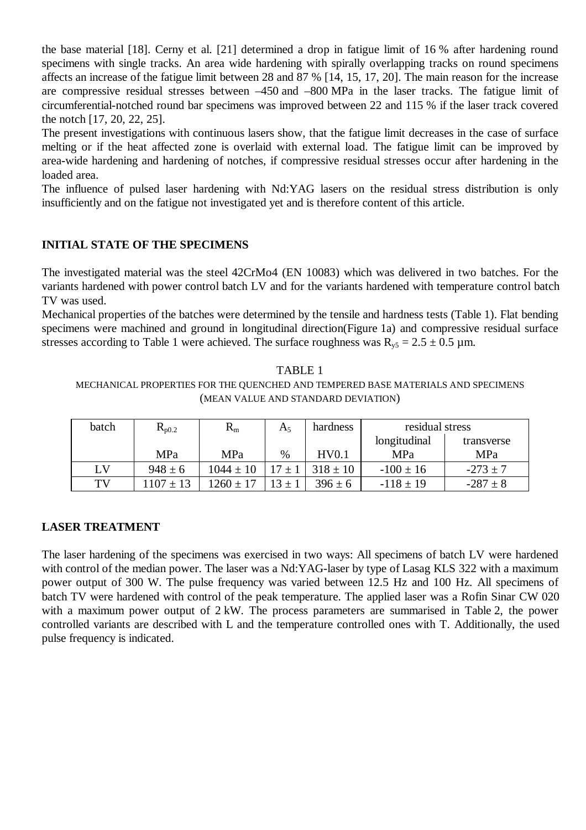the base material [18]. Cerny et al. [21] determined a drop in fatigue limit of 16 % after hardening round specimens with single tracks. An area wide hardening with spirally overlapping tracks on round specimens affects an increase of the fatigue limit between 28 and 87 % [14, 15, 17, 20]. The main reason for the increase are compressive residual stresses between –450 and –800 MPa in the laser tracks. The fatigue limit of circumferential-notched round bar specimens was improved between 22 and 115 % if the laser track covered the notch [17, 20, 22, 25].

The present investigations with continuous lasers show, that the fatigue limit decreases in the case of surface melting or if the heat affected zone is overlaid with external load. The fatigue limit can be improved by area-wide hardening and hardening of notches, if compressive residual stresses occur after hardening in the loaded area.

The influence of pulsed laser hardening with Nd:YAG lasers on the residual stress distribution is only insufficiently and on the fatigue not investigated yet and is therefore content of this article.

## **INITIAL STATE OF THE SPECIMENS**

The investigated material was the steel 42CrMo4 (EN 10083) which was delivered in two batches. For the variants hardened with power control batch LV and for the variants hardened with temperature control batch TV was used.

Mechanical properties of the batches were determined by the tensile and hardness tests (Table 1). Flat bending specimens were machined and ground in longitudinal direction(Figure 1a) and compressive residual surface stresses according to Table 1 were achieved. The surface roughness was  $R_{v5} = 2.5 \pm 0.5$  µm.

TABLE 1 MECHANICAL PROPERTIES FOR THE QUENCHED AND TEMPERED BASE MATERIALS AND SPECIMENS (MEAN VALUE AND STANDARD DEVIATION)

| batch | $R_{p0.2}$    | $R_{\rm m}$   | $A_5$      | hardness     | residual stress |              |
|-------|---------------|---------------|------------|--------------|-----------------|--------------|
|       |               |               |            |              | longitudinal    | transverse   |
|       | MPa           | <b>MPa</b>    | $\%$       | HV0.1        | MPa             | MPa          |
| LV    | $948 \pm 6$   | $1044 \pm 10$ |            | $318 \pm 10$ | $-100 \pm 16$   | $-273 \pm 7$ |
| TV    | $1107 \pm 13$ | $1260 \pm 17$ | $13 \pm 1$ | $396 \pm 6$  | $-118 \pm 19$   | $-287 \pm 8$ |

## **LASER TREATMENT**

The laser hardening of the specimens was exercised in two ways: All specimens of batch LV were hardened with control of the median power. The laser was a Nd:YAG-laser by type of Lasag KLS 322 with a maximum power output of 300 W. The pulse frequency was varied between 12.5 Hz and 100 Hz. All specimens of batch TV were hardened with control of the peak temperature. The applied laser was a Rofin Sinar CW 020 with a maximum power output of 2 kW. The process parameters are summarised in Table 2, the power controlled variants are described with L and the temperature controlled ones with T. Additionally, the used pulse frequency is indicated.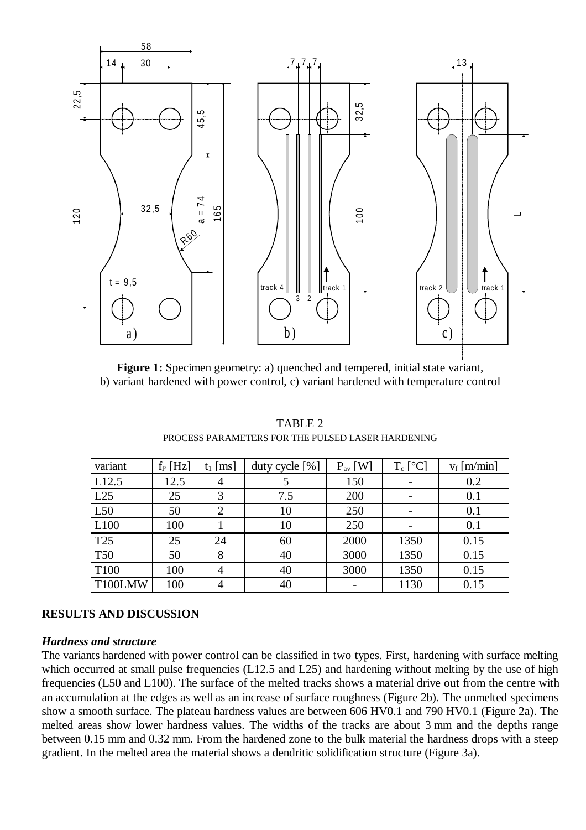

**Figure 1:** Specimen geometry: a) quenched and tempered, initial state variant, b) variant hardened with power control, c) variant hardened with temperature control

| variant          | $f_P$ [Hz] | $t_1$ [ms] | duty cycle $[\%]$ | $P_{av}$ [W] | $T_c$ [ $^{\circ}$ C] | $v_f$ [m/min] |
|------------------|------------|------------|-------------------|--------------|-----------------------|---------------|
| L12.5            | 12.5       | 4          |                   | 150          |                       | 0.2           |
| L25              | 25         | 3          | 7.5               | 200          |                       | 0.1           |
| L50              | 50         |            | 10                | 250          |                       | 0.1           |
| L100             | 100        |            | 10                | 250          |                       | 0.1           |
| T25              | 25         | 24         | 60                | 2000         | 1350                  | 0.15          |
| <b>T50</b>       | 50         | 8          | 40                | 3000         | 1350                  | 0.15          |
| T <sub>100</sub> | 100        |            | 40                | 3000         | 1350                  | 0.15          |
| T100LMW          | 100        |            | 40                |              | 1130                  | 0.15          |

TABLE 2 PROCESS PARAMETERS FOR THE PULSED LASER HARDENING

## **RESULTS AND DISCUSSION**

### *Hardness and structure*

The variants hardened with power control can be classified in two types. First, hardening with surface melting which occurred at small pulse frequencies (L12.5 and L25) and hardening without melting by the use of high frequencies (L50 and L100). The surface of the melted tracks shows a material drive out from the centre with an accumulation at the edges as well as an increase of surface roughness (Figure 2b). The unmelted specimens show a smooth surface. The plateau hardness values are between 606 HV0.1 and 790 HV0.1 (Figure 2a). The melted areas show lower hardness values. The widths of the tracks are about 3 mm and the depths range between 0.15 mm and 0.32 mm. From the hardened zone to the bulk material the hardness drops with a steep gradient. In the melted area the material shows a dendritic solidification structure (Figure 3a).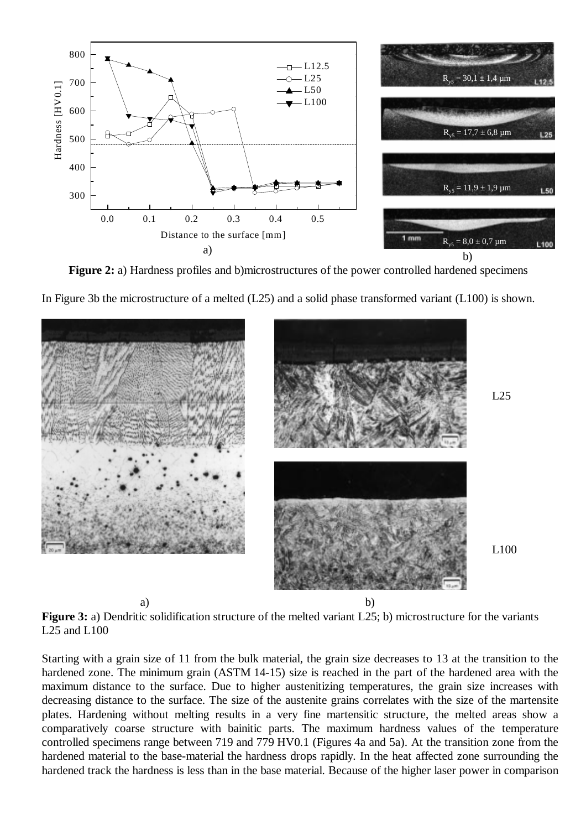

**Figure 2:** a) Hardness profiles and b)microstructures of the power controlled hardened specimens

In Figure 3b the microstructure of a melted (L25) and a solid phase transformed variant (L100) is shown.



**Figure 3:** a) Dendritic solidification structure of the melted variant L25; b) microstructure for the variants L25 and L100

Starting with a grain size of 11 from the bulk material, the grain size decreases to 13 at the transition to the hardened zone. The minimum grain (ASTM 14-15) size is reached in the part of the hardened area with the maximum distance to the surface. Due to higher austenitizing temperatures, the grain size increases with decreasing distance to the surface. The size of the austenite grains correlates with the size of the martensite plates. Hardening without melting results in a very fine martensitic structure, the melted areas show a comparatively coarse structure with bainitic parts. The maximum hardness values of the temperature controlled specimens range between 719 and 779 HV0.1 (Figures 4a and 5a). At the transition zone from the hardened material to the base-material the hardness drops rapidly. In the heat affected zone surrounding the hardened track the hardness is less than in the base material. Because of the higher laser power in comparison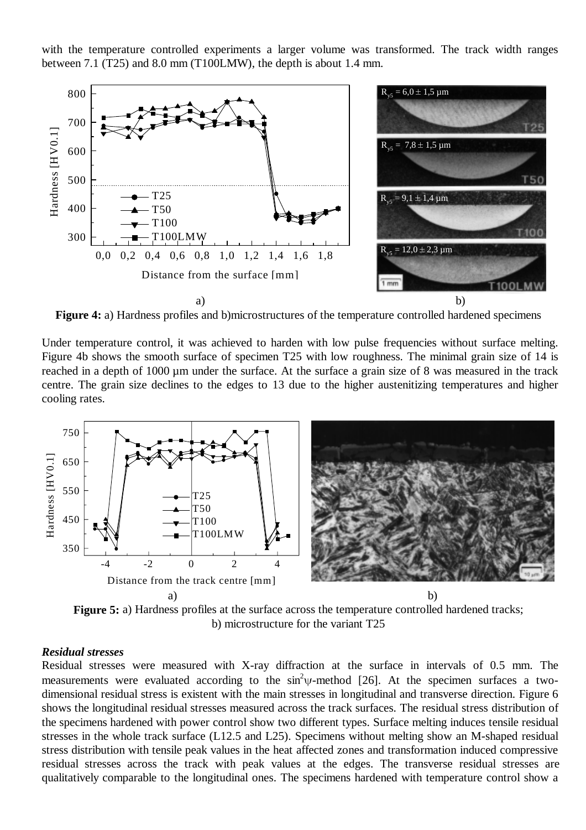with the temperature controlled experiments a larger volume was transformed. The track width ranges between 7.1 (T25) and 8.0 mm (T100LMW), the depth is about 1.4 mm.



**Figure 4:** a) Hardness profiles and b)microstructures of the temperature controlled hardened specimens

Under temperature control, it was achieved to harden with low pulse frequencies without surface melting. Figure 4b shows the smooth surface of specimen T25 with low roughness. The minimal grain size of 14 is reached in a depth of 1000 µm under the surface. At the surface a grain size of 8 was measured in the track centre. The grain size declines to the edges to 13 due to the higher austenitizing temperatures and higher cooling rates.



**Figure 5:** a) Hardness profiles at the surface across the temperature controlled hardened tracks; b) microstructure for the variant T25

#### *Residual stresses*

Residual stresses were measured with X-ray diffraction at the surface in intervals of 0.5 mm. The measurements were evaluated according to the  $\sin^2\psi$ -method [26]. At the specimen surfaces a twodimensional residual stress is existent with the main stresses in longitudinal and transverse direction. Figure 6 shows the longitudinal residual stresses measured across the track surfaces. The residual stress distribution of the specimens hardened with power control show two different types. Surface melting induces tensile residual stresses in the whole track surface (L12.5 and L25). Specimens without melting show an M-shaped residual stress distribution with tensile peak values in the heat affected zones and transformation induced compressive residual stresses across the track with peak values at the edges. The transverse residual stresses are qualitatively comparable to the longitudinal ones. The specimens hardened with temperature control show a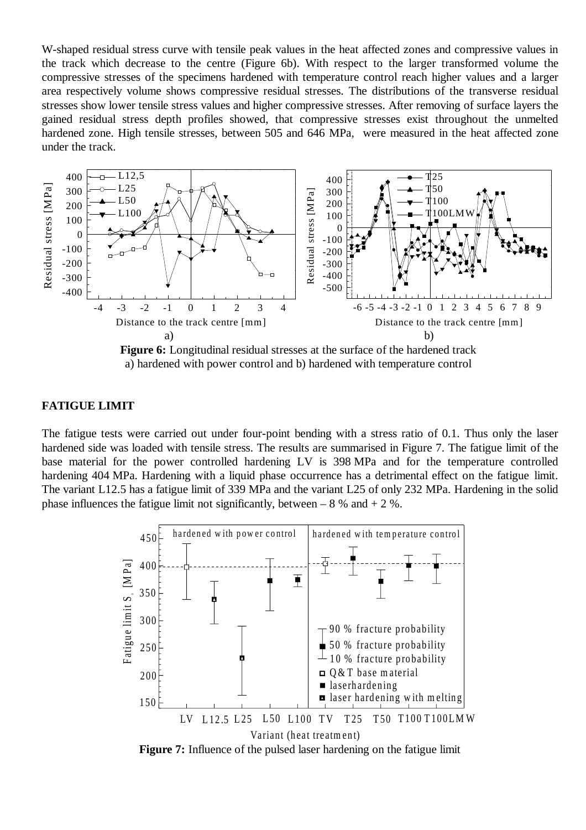W-shaped residual stress curve with tensile peak values in the heat affected zones and compressive values in the track which decrease to the centre (Figure 6b). With respect to the larger transformed volume the compressive stresses of the specimens hardened with temperature control reach higher values and a larger area respectively volume shows compressive residual stresses. The distributions of the transverse residual stresses show lower tensile stress values and higher compressive stresses. After removing of surface layers the gained residual stress depth profiles showed, that compressive stresses exist throughout the unmelted hardened zone. High tensile stresses, between 505 and 646 MPa, were measured in the heat affected zone under the track.



## **FATIGUE LIMIT**

The fatigue tests were carried out under four-point bending with a stress ratio of 0.1. Thus only the laser hardened side was loaded with tensile stress. The results are summarised in Figure 7. The fatigue limit of the base material for the power controlled hardening LV is 398 MPa and for the temperature controlled hardening 404 MPa. Hardening with a liquid phase occurrence has a detrimental effect on the fatigue limit. The variant L12.5 has a fatigue limit of 339 MPa and the variant L25 of only 232 MPa. Hardening in the solid phase influences the fatigue limit not significantly, between  $-8\%$  and  $+2\%$ .



**Figure 7:** Influence of the pulsed laser hardening on the fatigue limit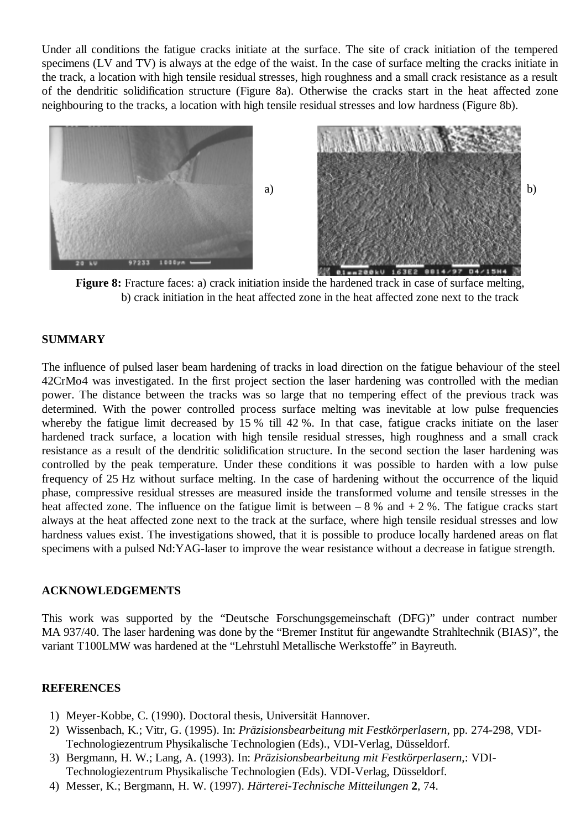Under all conditions the fatigue cracks initiate at the surface. The site of crack initiation of the tempered specimens (LV and TV) is always at the edge of the waist. In the case of surface melting the cracks initiate in the track, a location with high tensile residual stresses, high roughness and a small crack resistance as a result of the dendritic solidification structure (Figure 8a). Otherwise the cracks start in the heat affected zone neighbouring to the tracks, a location with high tensile residual stresses and low hardness (Figure 8b).



**Figure 8:** Fracture faces: a) crack initiation inside the hardened track in case of surface melting, b) crack initiation in the heat affected zone in the heat affected zone next to the track

## **SUMMARY**

The influence of pulsed laser beam hardening of tracks in load direction on the fatigue behaviour of the steel 42CrMo4 was investigated. In the first project section the laser hardening was controlled with the median power. The distance between the tracks was so large that no tempering effect of the previous track was determined. With the power controlled process surface melting was inevitable at low pulse frequencies whereby the fatigue limit decreased by 15 % till 42 %. In that case, fatigue cracks initiate on the laser hardened track surface, a location with high tensile residual stresses, high roughness and a small crack resistance as a result of the dendritic solidification structure. In the second section the laser hardening was controlled by the peak temperature. Under these conditions it was possible to harden with a low pulse frequency of 25 Hz without surface melting. In the case of hardening without the occurrence of the liquid phase, compressive residual stresses are measured inside the transformed volume and tensile stresses in the heat affected zone. The influence on the fatigue limit is between  $-8\%$  and  $+2\%$ . The fatigue cracks start always at the heat affected zone next to the track at the surface, where high tensile residual stresses and low hardness values exist. The investigations showed, that it is possible to produce locally hardened areas on flat specimens with a pulsed Nd:YAG-laser to improve the wear resistance without a decrease in fatigue strength.

#### **ACKNOWLEDGEMENTS**

This work was supported by the "Deutsche Forschungsgemeinschaft (DFG)" under contract number MA 937/40. The laser hardening was done by the "Bremer Institut für angewandte Strahltechnik (BIAS)", the variant T100LMW was hardened at the "Lehrstuhl Metallische Werkstoffe" in Bayreuth.

#### **REFERENCES**

- 1) Meyer-Kobbe, C. (1990). Doctoral thesis, Universität Hannover.
- 2) Wissenbach, K.; Vitr, G. (1995). In: *Präzisionsbearbeitung mit Festkörperlasern*, pp. 274-298, VDI-Technologiezentrum Physikalische Technologien (Eds)., VDI-Verlag, Düsseldorf.
- 3) Bergmann, H. W.; Lang, A. (1993). In: *Präzisionsbearbeitung mit Festkörperlasern*,: VDI-Technologiezentrum Physikalische Technologien (Eds). VDI-Verlag, Düsseldorf.
- 4) Messer, K.; Bergmann, H. W. (1997). *Härterei-Technische Mitteilungen* **2**, 74.